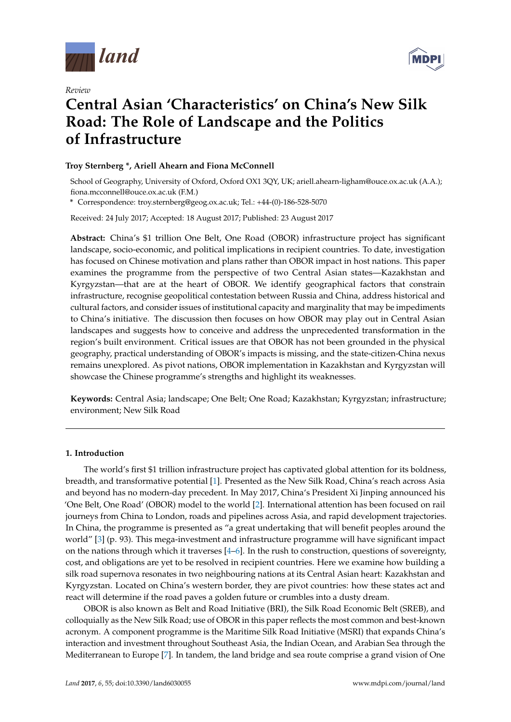

*Review*



# **Central Asian 'Characteristics' on China's New Silk Road: The Role of Landscape and the Politics of Infrastructure**

# **Troy Sternberg \*, Ariell Ahearn and Fiona McConnell**

School of Geography, University of Oxford, Oxford OX1 3QY, UK; ariell.ahearn-ligham@ouce.ox.ac.uk (A.A.); fiona.mcconnell@ouce.ox.ac.uk (F.M.)

**\*** Correspondence: troy.sternberg@geog.ox.ac.uk; Tel.: +44-(0)-186-528-5070

Received: 24 July 2017; Accepted: 18 August 2017; Published: 23 August 2017

**Abstract:** China's \$1 trillion One Belt, One Road (OBOR) infrastructure project has significant landscape, socio-economic, and political implications in recipient countries. To date, investigation has focused on Chinese motivation and plans rather than OBOR impact in host nations. This paper examines the programme from the perspective of two Central Asian states—Kazakhstan and Kyrgyzstan—that are at the heart of OBOR. We identify geographical factors that constrain infrastructure, recognise geopolitical contestation between Russia and China, address historical and cultural factors, and consider issues of institutional capacity and marginality that may be impediments to China's initiative. The discussion then focuses on how OBOR may play out in Central Asian landscapes and suggests how to conceive and address the unprecedented transformation in the region's built environment. Critical issues are that OBOR has not been grounded in the physical geography, practical understanding of OBOR's impacts is missing, and the state-citizen-China nexus remains unexplored. As pivot nations, OBOR implementation in Kazakhstan and Kyrgyzstan will showcase the Chinese programme's strengths and highlight its weaknesses.

**Keywords:** Central Asia; landscape; One Belt; One Road; Kazakhstan; Kyrgyzstan; infrastructure; environment; New Silk Road

# **1. Introduction**

The world's first \$1 trillion infrastructure project has captivated global attention for its boldness, breadth, and transformative potential [\[1\]](#page-12-0). Presented as the New Silk Road, China's reach across Asia and beyond has no modern-day precedent. In May 2017, China's President Xi Jinping announced his 'One Belt, One Road' (OBOR) model to the world [\[2\]](#page-12-1). International attention has been focused on rail journeys from China to London, roads and pipelines across Asia, and rapid development trajectories. In China, the programme is presented as "a great undertaking that will benefit peoples around the world" [\[3\]](#page-12-2) (p. 93). This mega-investment and infrastructure programme will have significant impact on the nations through which it traverses  $[4-6]$  $[4-6]$ . In the rush to construction, questions of sovereignty, cost, and obligations are yet to be resolved in recipient countries. Here we examine how building a silk road supernova resonates in two neighbouring nations at its Central Asian heart: Kazakhstan and Kyrgyzstan. Located on China's western border, they are pivot countries: how these states act and react will determine if the road paves a golden future or crumbles into a dusty dream.

OBOR is also known as Belt and Road Initiative (BRI), the Silk Road Economic Belt (SREB), and colloquially as the New Silk Road; use of OBOR in this paper reflects the most common and best-known acronym. A component programme is the Maritime Silk Road Initiative (MSRI) that expands China's interaction and investment throughout Southeast Asia, the Indian Ocean, and Arabian Sea through the Mediterranean to Europe [\[7\]](#page-12-5). In tandem, the land bridge and sea route comprise a grand vision of One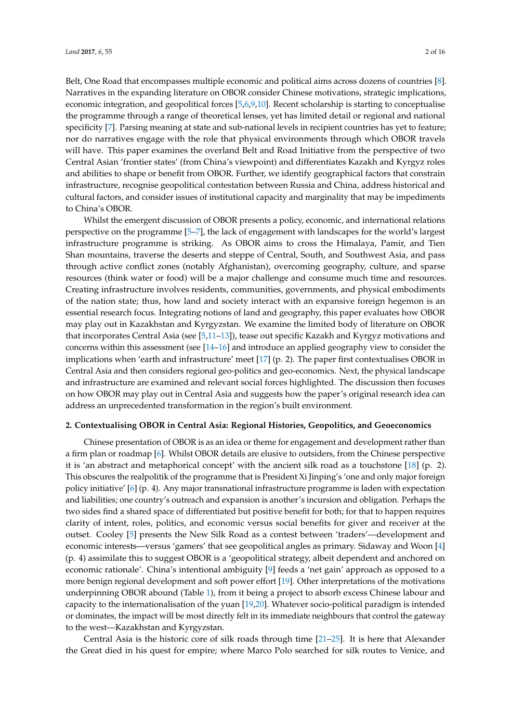Belt, One Road that encompasses multiple economic and political aims across dozens of countries [\[8\]](#page-12-6). Narratives in the expanding literature on OBOR consider Chinese motivations, strategic implications, economic integration, and geopolitical forces [\[5](#page-12-7)[,6](#page-12-4)[,9](#page-12-8)[,10\]](#page-12-9). Recent scholarship is starting to conceptualise the programme through a range of theoretical lenses, yet has limited detail or regional and national specificity [\[7\]](#page-12-5). Parsing meaning at state and sub-national levels in recipient countries has yet to feature; nor do narratives engage with the role that physical environments through which OBOR travels will have. This paper examines the overland Belt and Road Initiative from the perspective of two Central Asian 'frontier states' (from China's viewpoint) and differentiates Kazakh and Kyrgyz roles and abilities to shape or benefit from OBOR. Further, we identify geographical factors that constrain infrastructure, recognise geopolitical contestation between Russia and China, address historical and cultural factors, and consider issues of institutional capacity and marginality that may be impediments to China's OBOR.

Whilst the emergent discussion of OBOR presents a policy, economic, and international relations perspective on the programme [\[5](#page-12-7)[–7\]](#page-12-5), the lack of engagement with landscapes for the world's largest infrastructure programme is striking. As OBOR aims to cross the Himalaya, Pamir, and Tien Shan mountains, traverse the deserts and steppe of Central, South, and Southwest Asia, and pass through active conflict zones (notably Afghanistan), overcoming geography, culture, and sparse resources (think water or food) will be a major challenge and consume much time and resources. Creating infrastructure involves residents, communities, governments, and physical embodiments of the nation state; thus, how land and society interact with an expansive foreign hegemon is an essential research focus. Integrating notions of land and geography, this paper evaluates how OBOR may play out in Kazakhstan and Kyrgyzstan. We examine the limited body of literature on OBOR that incorporates Central Asia (see [\[5,](#page-12-7)[11](#page-12-10)[–13\]](#page-12-11)), tease out specific Kazakh and Kyrgyz motivations and concerns within this assessment (see [\[14–](#page-12-12)[16\]](#page-12-13) and introduce an applied geography view to consider the implications when 'earth and infrastructure' meet [\[17\]](#page-13-0) (p. 2). The paper first contextualises OBOR in Central Asia and then considers regional geo-politics and geo-economics. Next, the physical landscape and infrastructure are examined and relevant social forces highlighted. The discussion then focuses on how OBOR may play out in Central Asia and suggests how the paper's original research idea can address an unprecedented transformation in the region's built environment.

# **2. Contextualising OBOR in Central Asia: Regional Histories, Geopolitics, and Geoeconomics**

Chinese presentation of OBOR is as an idea or theme for engagement and development rather than a firm plan or roadmap [\[6\]](#page-12-4). Whilst OBOR details are elusive to outsiders, from the Chinese perspective it is 'an abstract and metaphorical concept' with the ancient silk road as a touchstone [\[18\]](#page-13-1) (p. 2). This obscures the realpolitik of the programme that is President Xi Jinping's 'one and only major foreign policy initiative' [\[6\]](#page-12-4) (p. 4). Any major transnational infrastructure programme is laden with expectation and liabilities; one country's outreach and expansion is another's incursion and obligation. Perhaps the two sides find a shared space of differentiated but positive benefit for both; for that to happen requires clarity of intent, roles, politics, and economic versus social benefits for giver and receiver at the outset. Cooley [\[5\]](#page-12-7) presents the New Silk Road as a contest between 'traders'—development and economic interests—versus 'gamers' that see geopolitical angles as primary. Sidaway and Woon [\[4\]](#page-12-3) (p. 4) assimilate this to suggest OBOR is a 'geopolitical strategy, albeit dependent and anchored on economic rationale'. China's intentional ambiguity [\[9\]](#page-12-8) feeds a 'net gain' approach as opposed to a more benign regional development and soft power effort [\[19\]](#page-13-2). Other interpretations of the motivations underpinning OBOR abound (Table [1\)](#page-2-0), from it being a project to absorb excess Chinese labour and capacity to the internationalisation of the yuan [\[19](#page-13-2)[,20\]](#page-13-3). Whatever socio-political paradigm is intended or dominates, the impact will be most directly felt in its immediate neighbours that control the gateway to the west—Kazakhstan and Kyrgyzstan.

Central Asia is the historic core of silk roads through time [\[21](#page-13-4)[–25\]](#page-13-5). It is here that Alexander the Great died in his quest for empire; where Marco Polo searched for silk routes to Venice, and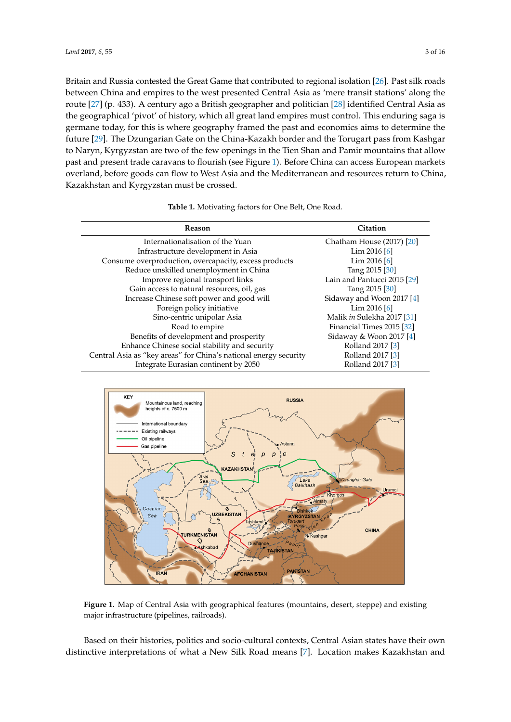Britain and Russia contest[ed](#page-13-6) the Great Game that contributed to regional isolation [26]. Past silk roads between China and empires to the west presented Central Asia as 'mere transit stations' along the route [27] (p. 433). A century ago a British geographer and politician [28] identified Central Asia as the geographical 'pivot' of history, which all great land empires must control. This enduring saga is germane today, for this is where geography framed the past and economics aims to determine the future [29]. The Dzungarian Gate on the China-Kazakh border and the Torugart pass from Kashgar to Naryn, Kyrgyzstan are two of the few openings in the Tien Shan and Pamir mountains that allow past and present trade caravans to flourish (see Figure [1\)](#page-2-1). Before China can access European markets overland, before goods can flow to West Asia and the Mediterranean and resources return to China, Kazakhstan and Kyrgyzstan must be crossed.

| <b>Table 1.</b> Motivating factors for One Belt, One Road. |  |  |
|------------------------------------------------------------|--|--|

<span id="page-2-0"></span>

| <b>Reason</b>                                                    | Citation                    |
|------------------------------------------------------------------|-----------------------------|
|                                                                  |                             |
| Internationalisation of the Yuan                                 | Chatham House (2017) [20]   |
| Infrastructure development in Asia                               | Lim $2016$ [6]              |
| Consume overproduction, overcapacity, excess products            | Lim $2016$ [6]              |
| Reduce unskilled unemployment in China                           | Tang 2015 [30]              |
| Improve regional transport links                                 | Lain and Pantucci 2015 [29] |
| Gain access to natural resources, oil, gas                       | Tang 2015 [30]              |
| Increase Chinese soft power and good will                        | Sidaway and Woon 2017 [4]   |
| Foreign policy initiative                                        | Lim $2016$ [6]              |
| Sino-centric unipolar Asia                                       | Malik in Sulekha 2017 [31]  |
| Road to empire                                                   | Financial Times 2015 [32]   |
| Benefits of development and prosperity                           | Sidaway & Woon 2017 [4]     |
| Enhance Chinese social stability and security                    | Rolland 2017 [3]            |
| Central Asia as "key areas" for China's national energy security | Rolland 2017 [3]            |
| Integrate Eurasian continent by 2050                             | Rolland 2017 [3]            |

<span id="page-2-1"></span>

**Figure 1.** Map of Central Asia with geographical features (mountains, desert, steppe) and existing **Figure 1.** Map of Central Asia with geographical features (mountains, desert, steppe) and existing major infrastructure (pipelines, railroads). major infrastructure (pipelines, railroads).

Based on their histories, politics and socio-cultural contexts, Central Asian states have their own distinctive interpretations of what a New Silk Road means [\[7\]](#page-12-5). Location makes Kazakhstan and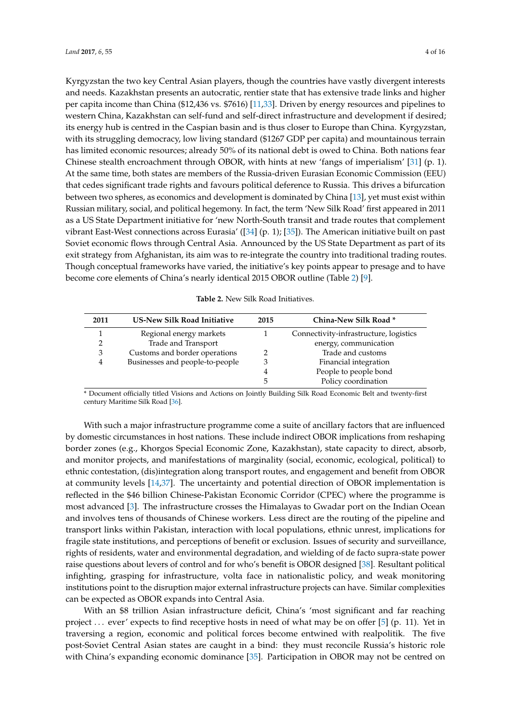Kyrgyzstan the two key Central Asian players, though the countries have vastly divergent interests and needs. Kazakhstan presents an autocratic, rentier state that has extensive trade links and higher per capita income than China (\$12,436 vs. \$7616) [\[11,](#page-12-10)[33\]](#page-13-13). Driven by energy resources and pipelines to western China, Kazakhstan can self-fund and self-direct infrastructure and development if desired; its energy hub is centred in the Caspian basin and is thus closer to Europe than China. Kyrgyzstan, with its struggling democracy, low living standard (\$1267 GDP per capita) and mountainous terrain has limited economic resources; already 50% of its national debt is owed to China. Both nations fear Chinese stealth encroachment through OBOR, with hints at new 'fangs of imperialism' [\[31\]](#page-13-11) (p. 1). At the same time, both states are members of the Russia-driven Eurasian Economic Commission (EEU) that cedes significant trade rights and favours political deference to Russia. This drives a bifurcation between two spheres, as economics and development is dominated by China [\[13\]](#page-12-11), yet must exist within Russian military, social, and political hegemony. In fact, the term 'New Silk Road' first appeared in 2011 as a US State Department initiative for 'new North-South transit and trade routes that complement vibrant East-West connections across Eurasia' ([\[34\]](#page-13-14) (p. 1); [\[35\]](#page-13-15)). The American initiative built on past Soviet economic flows through Central Asia. Announced by the US State Department as part of its exit strategy from Afghanistan, its aim was to re-integrate the country into traditional trading routes. Though conceptual frameworks have varied, the initiative's key points appear to presage and to have become core elements of China's nearly identical 2015 OBOR outline (Table [2\)](#page-3-0) [\[9\]](#page-12-8).

|  |  | <b>Table 2.</b> New Silk Road Initiatives. |
|--|--|--------------------------------------------|
|  |  |                                            |

<span id="page-3-0"></span>

| 2011 | <b>US-New Silk Road Initiative</b> | 2015 | China-New Silk Road *                  |
|------|------------------------------------|------|----------------------------------------|
|      | Regional energy markets            |      | Connectivity-infrastructure, logistics |
|      | Trade and Transport                |      | energy, communication                  |
| 3    | Customs and border operations      |      | Trade and customs                      |
| 4    | Businesses and people-to-people    |      | Financial integration                  |
|      |                                    | 4    | People to people bond                  |
|      |                                    | 5    | Policy coordination                    |

\* Document officially titled Visions and Actions on Jointly Building Silk Road Economic Belt and twenty-first century Maritime Silk Road [\[36\]](#page-13-16).

With such a major infrastructure programme come a suite of ancillary factors that are influenced by domestic circumstances in host nations. These include indirect OBOR implications from reshaping border zones (e.g., Khorgos Special Economic Zone, Kazakhstan), state capacity to direct, absorb, and monitor projects, and manifestations of marginality (social, economic, ecological, political) to ethnic contestation, (dis)integration along transport routes, and engagement and benefit from OBOR at community levels [\[14](#page-12-12)[,37\]](#page-13-17). The uncertainty and potential direction of OBOR implementation is reflected in the \$46 billion Chinese-Pakistan Economic Corridor (CPEC) where the programme is most advanced [\[3\]](#page-12-2). The infrastructure crosses the Himalayas to Gwadar port on the Indian Ocean and involves tens of thousands of Chinese workers. Less direct are the routing of the pipeline and transport links within Pakistan, interaction with local populations, ethnic unrest, implications for fragile state institutions, and perceptions of benefit or exclusion. Issues of security and surveillance, rights of residents, water and environmental degradation, and wielding of de facto supra-state power raise questions about levers of control and for who's benefit is OBOR designed [\[38\]](#page-13-18). Resultant political infighting, grasping for infrastructure, volta face in nationalistic policy, and weak monitoring institutions point to the disruption major external infrastructure projects can have. Similar complexities can be expected as OBOR expands into Central Asia.

With an \$8 trillion Asian infrastructure deficit, China's 'most significant and far reaching project . . . ever' expects to find receptive hosts in need of what may be on offer [\[5\]](#page-12-7) (p. 11). Yet in traversing a region, economic and political forces become entwined with realpolitik. The five post-Soviet Central Asian states are caught in a bind: they must reconcile Russia's historic role with China's expanding economic dominance [\[35\]](#page-13-15). Participation in OBOR may not be centred on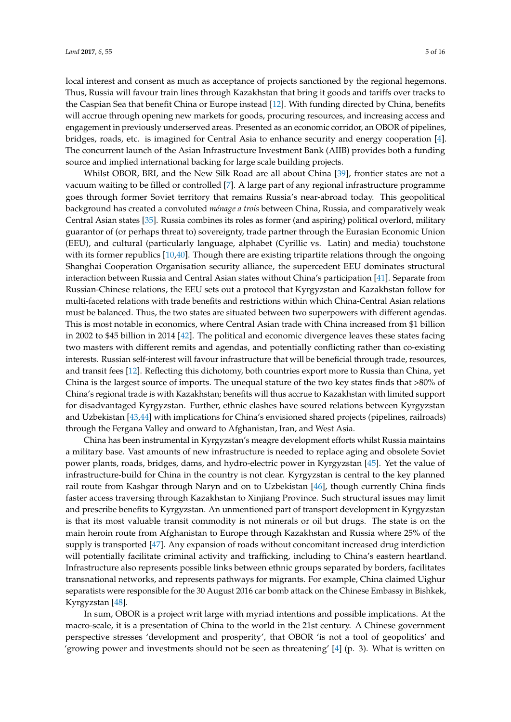local interest and consent as much as acceptance of projects sanctioned by the regional hegemons. Thus, Russia will favour train lines through Kazakhstan that bring it goods and tariffs over tracks to the Caspian Sea that benefit China or Europe instead [\[12\]](#page-12-14). With funding directed by China, benefits will accrue through opening new markets for goods, procuring resources, and increasing access and engagement in previously underserved areas. Presented as an economic corridor, an OBOR of pipelines, bridges, roads, etc. is imagined for Central Asia to enhance security and energy cooperation [\[4\]](#page-12-3). The concurrent launch of the Asian Infrastructure Investment Bank (AIIB) provides both a funding source and implied international backing for large scale building projects.

Whilst OBOR, BRI, and the New Silk Road are all about China [\[39\]](#page-13-19), frontier states are not a vacuum waiting to be filled or controlled [\[7\]](#page-12-5). A large part of any regional infrastructure programme goes through former Soviet territory that remains Russia's near-abroad today. This geopolitical background has created a convoluted *ménage a trois* between China, Russia, and comparatively weak Central Asian states [\[35\]](#page-13-15). Russia combines its roles as former (and aspiring) political overlord, military guarantor of (or perhaps threat to) sovereignty, trade partner through the Eurasian Economic Union (EEU), and cultural (particularly language, alphabet (Cyrillic vs. Latin) and media) touchstone with its former republics [\[10,](#page-12-9)[40\]](#page-13-20). Though there are existing tripartite relations through the ongoing Shanghai Cooperation Organisation security alliance, the supercedent EEU dominates structural interaction between Russia and Central Asian states without China's participation [\[41\]](#page-13-21). Separate from Russian-Chinese relations, the EEU sets out a protocol that Kyrgyzstan and Kazakhstan follow for multi-faceted relations with trade benefits and restrictions within which China-Central Asian relations must be balanced. Thus, the two states are situated between two superpowers with different agendas. This is most notable in economics, where Central Asian trade with China increased from \$1 billion in 2002 to \$45 billion in 2014 [\[42\]](#page-13-22). The political and economic divergence leaves these states facing two masters with different remits and agendas, and potentially conflicting rather than co-existing interests. Russian self-interest will favour infrastructure that will be beneficial through trade, resources, and transit fees [\[12\]](#page-12-14). Reflecting this dichotomy, both countries export more to Russia than China, yet China is the largest source of imports. The unequal stature of the two key states finds that >80% of China's regional trade is with Kazakhstan; benefits will thus accrue to Kazakhstan with limited support for disadvantaged Kyrgyzstan. Further, ethnic clashes have soured relations between Kyrgyzstan and Uzbekistan [\[43,](#page-14-0)[44\]](#page-14-1) with implications for China's envisioned shared projects (pipelines, railroads) through the Fergana Valley and onward to Afghanistan, Iran, and West Asia.

China has been instrumental in Kyrgyzstan's meagre development efforts whilst Russia maintains a military base. Vast amounts of new infrastructure is needed to replace aging and obsolete Soviet power plants, roads, bridges, dams, and hydro-electric power in Kyrgyzstan [\[45\]](#page-14-2). Yet the value of infrastructure-build for China in the country is not clear. Kyrgyzstan is central to the key planned rail route from Kashgar through Naryn and on to Uzbekistan [\[46\]](#page-14-3), though currently China finds faster access traversing through Kazakhstan to Xinjiang Province. Such structural issues may limit and prescribe benefits to Kyrgyzstan. An unmentioned part of transport development in Kyrgyzstan is that its most valuable transit commodity is not minerals or oil but drugs. The state is on the main heroin route from Afghanistan to Europe through Kazakhstan and Russia where 25% of the supply is transported [\[47\]](#page-14-4). Any expansion of roads without concomitant increased drug interdiction will potentially facilitate criminal activity and trafficking, including to China's eastern heartland. Infrastructure also represents possible links between ethnic groups separated by borders, facilitates transnational networks, and represents pathways for migrants. For example, China claimed Uighur separatists were responsible for the 30 August 2016 car bomb attack on the Chinese Embassy in Bishkek, Kyrgyzstan [\[48\]](#page-14-5).

In sum, OBOR is a project writ large with myriad intentions and possible implications. At the macro-scale, it is a presentation of China to the world in the 21st century. A Chinese government perspective stresses 'development and prosperity', that OBOR 'is not a tool of geopolitics' and 'growing power and investments should not be seen as threatening' [\[4\]](#page-12-3) (p. 3). What is written on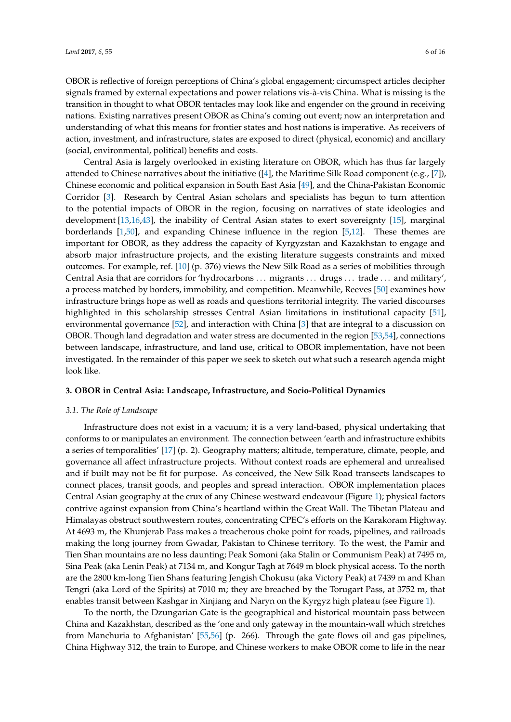OBOR is reflective of foreign perceptions of China's global engagement; circumspect articles decipher signals framed by external expectations and power relations vis-à-vis China. What is missing is the transition in thought to what OBOR tentacles may look like and engender on the ground in receiving nations. Existing narratives present OBOR as China's coming out event; now an interpretation and understanding of what this means for frontier states and host nations is imperative. As receivers of action, investment, and infrastructure, states are exposed to direct (physical, economic) and ancillary (social, environmental, political) benefits and costs.

Central Asia is largely overlooked in existing literature on OBOR, which has thus far largely attended to Chinese narratives about the initiative  $(4]$ , the Maritime Silk Road component (e.g., [\[7\]](#page-12-5)), Chinese economic and political expansion in South East Asia [\[49\]](#page-14-6), and the China-Pakistan Economic Corridor [\[3\]](#page-12-2). Research by Central Asian scholars and specialists has begun to turn attention to the potential impacts of OBOR in the region, focusing on narratives of state ideologies and development [\[13,](#page-12-11)[16](#page-12-13)[,43\]](#page-14-0), the inability of Central Asian states to exert sovereignty [\[15\]](#page-12-15), marginal borderlands [\[1,](#page-12-0)[50\]](#page-14-7), and expanding Chinese influence in the region [\[5,](#page-12-7)[12\]](#page-12-14). These themes are important for OBOR, as they address the capacity of Kyrgyzstan and Kazakhstan to engage and absorb major infrastructure projects, and the existing literature suggests constraints and mixed outcomes. For example, ref. [\[10\]](#page-12-9) (p. 376) views the New Silk Road as a series of mobilities through Central Asia that are corridors for 'hydrocarbons . . . migrants . . . drugs . . . trade . . . and military', a process matched by borders, immobility, and competition. Meanwhile, Reeves [\[50\]](#page-14-7) examines how infrastructure brings hope as well as roads and questions territorial integrity. The varied discourses highlighted in this scholarship stresses Central Asian limitations in institutional capacity [\[51\]](#page-14-8), environmental governance [\[52\]](#page-14-9), and interaction with China [\[3\]](#page-12-2) that are integral to a discussion on OBOR. Though land degradation and water stress are documented in the region [\[53,](#page-14-10)[54\]](#page-14-11), connections between landscape, infrastructure, and land use, critical to OBOR implementation, have not been investigated. In the remainder of this paper we seek to sketch out what such a research agenda might look like.

# **3. OBOR in Central Asia: Landscape, Infrastructure, and Socio-Political Dynamics**

#### *3.1. The Role of Landscape*

Infrastructure does not exist in a vacuum; it is a very land-based, physical undertaking that conforms to or manipulates an environment. The connection between 'earth and infrastructure exhibits a series of temporalities' [\[17\]](#page-13-0) (p. 2). Geography matters; altitude, temperature, climate, people, and governance all affect infrastructure projects. Without context roads are ephemeral and unrealised and if built may not be fit for purpose. As conceived, the New Silk Road transects landscapes to connect places, transit goods, and peoples and spread interaction. OBOR implementation places Central Asian geography at the crux of any Chinese westward endeavour (Figure [1\)](#page-2-1); physical factors contrive against expansion from China's heartland within the Great Wall. The Tibetan Plateau and Himalayas obstruct southwestern routes, concentrating CPEC's efforts on the Karakoram Highway. At 4693 m, the Khunjerab Pass makes a treacherous choke point for roads, pipelines, and railroads making the long journey from Gwadar, Pakistan to Chinese territory. To the west, the Pamir and Tien Shan mountains are no less daunting; Peak Somoni (aka Stalin or Communism Peak) at 7495 m, Sina Peak (aka Lenin Peak) at 7134 m, and Kongur Tagh at 7649 m block physical access. To the north are the 2800 km-long Tien Shans featuring Jengish Chokusu (aka Victory Peak) at 7439 m and Khan Tengri (aka Lord of the Spirits) at 7010 m; they are breached by the Torugart Pass, at 3752 m, that enables transit between Kashgar in Xinjiang and Naryn on the Kyrgyz high plateau (see Figure [1\)](#page-2-1).

To the north, the Dzungarian Gate is the geographical and historical mountain pass between China and Kazakhstan, described as the 'one and only gateway in the mountain-wall which stretches from Manchuria to Afghanistan' [\[55,](#page-14-12)[56\]](#page-14-13) (p. 266). Through the gate flows oil and gas pipelines, China Highway 312, the train to Europe, and Chinese workers to make OBOR come to life in the near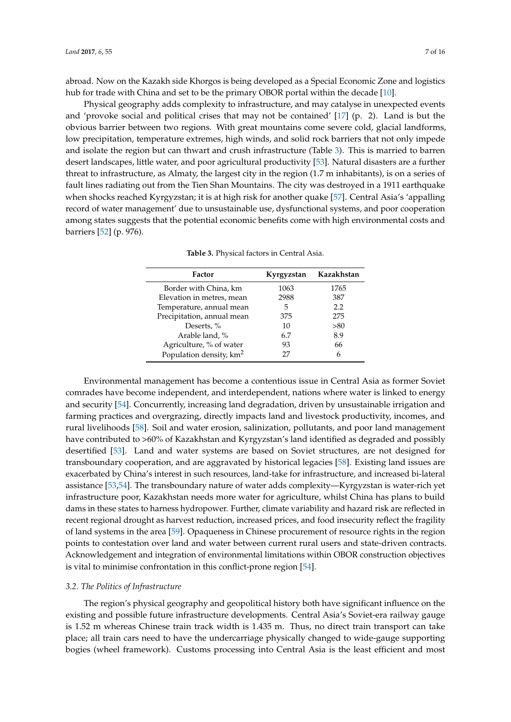abroad. Now on the Kazakh side Khorgos is being developed as a Special Economic Zone and logistics hub for trade with China and set to be the primary OBOR portal within the decade [\[10\]](#page-12-9).

Physical geography adds complexity to infrastructure, and may catalyse in unexpected events and 'provoke social and political crises that may not be contained' [\[17\]](#page-13-0) (p. 2). Land is but the obvious barrier between two regions. With great mountains come severe cold, glacial landforms, low precipitation, temperature extremes, high winds, and solid rock barriers that not only impede and isolate the region but can thwart and crush infrastructure (Table [3\)](#page-6-0). This is married to barren desert landscapes, little water, and poor agricultural productivity [\[53\]](#page-14-10). Natural disasters are a further threat to infrastructure, as Almaty, the largest city in the region (1.7 m inhabitants), is on a series of fault lines radiating out from the Tien Shan Mountains. The city was destroyed in a 1911 earthquake when shocks reached Kyrgyzstan; it is at high risk for another quake [\[57\]](#page-14-14). Central Asia's 'appalling record of water management' due to unsustainable use, dysfunctional systems, and poor cooperation among states suggests that the potential economic benefits come with high environmental costs and barriers [\[52\]](#page-14-9) (p. 976).

<span id="page-6-0"></span>

| Factor                              | Kyrgyzstan | Kazakhstan |
|-------------------------------------|------------|------------|
| Border with China, km               | 1063       | 1765       |
| Elevation in metres, mean           | 2988       | 387        |
| Temperature, annual mean            | 5          | 2.2        |
| Precipitation, annual mean          | 375        | 275        |
| Deserts, %                          | 10         | > 80       |
| Arable land, %                      | 6.7        | 8.9        |
| Agriculture, % of water             | 93         | 66         |
| Population density, km <sup>2</sup> | 27         | 6          |

**Table 3.** Physical factors in Central Asia.

Environmental management has become a contentious issue in Central Asia as former Soviet comrades have become independent, and interdependent, nations where water is linked to energy and security [\[54\]](#page-14-11). Concurrently, increasing land degradation, driven by unsustainable irrigation and farming practices and overgrazing, directly impacts land and livestock productivity, incomes, and rural livelihoods [\[58\]](#page-14-15). Soil and water erosion, salinization, pollutants, and poor land management have contributed to >60% of Kazakhstan and Kyrgyzstan's land identified as degraded and possibly desertified [\[53\]](#page-14-10). Land and water systems are based on Soviet structures, are not designed for transboundary cooperation, and are aggravated by historical legacies [\[58\]](#page-14-15). Existing land issues are exacerbated by China's interest in such resources, land-take for infrastructure, and increased bi-lateral assistance [\[53,](#page-14-10)[54\]](#page-14-11). The transboundary nature of water adds complexity—Kyrgyzstan is water-rich yet infrastructure poor, Kazakhstan needs more water for agriculture, whilst China has plans to build dams in these states to harness hydropower. Further, climate variability and hazard risk are reflected in recent regional drought as harvest reduction, increased prices, and food insecurity reflect the fragility of land systems in the area [\[59\]](#page-14-16). Opaqueness in Chinese procurement of resource rights in the region points to contestation over land and water between current rural users and state-driven contracts. Acknowledgement and integration of environmental limitations within OBOR construction objectives is vital to minimise confrontation in this conflict-prone region [\[54\]](#page-14-11).

## *3.2. The Politics of Infrastructure*

The region's physical geography and geopolitical history both have significant influence on the existing and possible future infrastructure developments. Central Asia's Soviet-era railway gauge is 1.52 m whereas Chinese train track width is 1.435 m. Thus, no direct train transport can take place; all train cars need to have the undercarriage physically changed to wide-gauge supporting bogies (wheel framework). Customs processing into Central Asia is the least efficient and most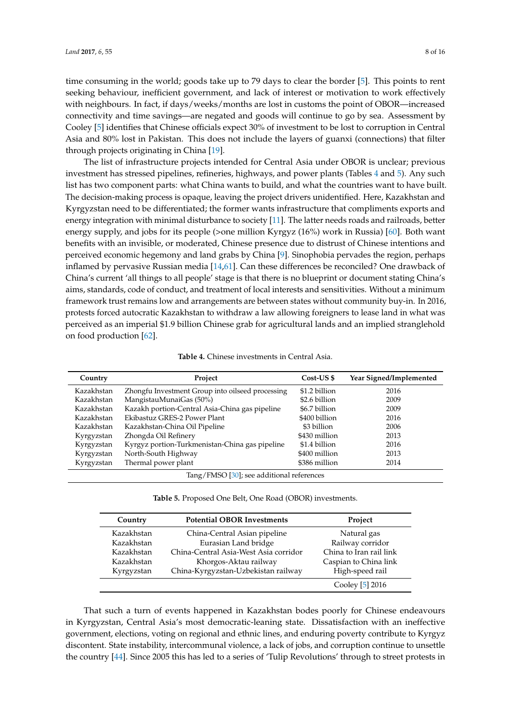time consuming in the world; goods take up to 79 days to clear the border [\[5\]](#page-12-7). This points to rent seeking behaviour, inefficient government, and lack of interest or motivation to work effectively with neighbours. In fact, if days/weeks/months are lost in customs the point of OBOR—increased connectivity and time savings—are negated and goods will continue to go by sea. Assessment by Cooley [\[5\]](#page-12-7) identifies that Chinese officials expect 30% of investment to be lost to corruption in Central Asia and 80% lost in Pakistan. This does not include the layers of guanxi (connections) that filter through projects originating in China [\[19\]](#page-13-2).

The list of infrastructure projects intended for Central Asia under OBOR is unclear; previous investment has stressed pipelines, refineries, highways, and power plants (Tables [4](#page-7-0) and [5\)](#page-7-1). Any such list has two component parts: what China wants to build, and what the countries want to have built. The decision-making process is opaque, leaving the project drivers unidentified. Here, Kazakhstan and Kyrgyzstan need to be differentiated; the former wants infrastructure that compliments exports and energy integration with minimal disturbance to society [\[11\]](#page-12-10). The latter needs roads and railroads, better energy supply, and jobs for its people (>one million Kyrgyz (16%) work in Russia) [\[60\]](#page-14-17). Both want benefits with an invisible, or moderated, Chinese presence due to distrust of Chinese intentions and perceived economic hegemony and land grabs by China [\[9\]](#page-12-8). Sinophobia pervades the region, perhaps inflamed by pervasive Russian media [\[14,](#page-12-12)[61\]](#page-14-18). Can these differences be reconciled? One drawback of China's current 'all things to all people' stage is that there is no blueprint or document stating China's aims, standards, code of conduct, and treatment of local interests and sensitivities. Without a minimum framework trust remains low and arrangements are between states without community buy-in. In 2016, protests forced autocratic Kazakhstan to withdraw a law allowing foreigners to lease land in what was perceived as an imperial \$1.9 billion Chinese grab for agricultural lands and an implied stranglehold on food production [\[62\]](#page-14-19).

|  | <b>Table 4.</b> Chinese investments in Central Asia. |  |  |
|--|------------------------------------------------------|--|--|
|  |                                                      |  |  |

<span id="page-7-0"></span>

| Country    | Project                                          | Cost-US \$    | Year Signed/Implemented |
|------------|--------------------------------------------------|---------------|-------------------------|
| Kazakhstan | Zhongfu Investment Group into oilseed processing | \$1.2 billion | 2016                    |
| Kazakhstan | MangistauMunaiGas (50%)                          | \$2.6 billion | 2009                    |
| Kazakhstan | Kazakh portion-Central Asia-China gas pipeline   | \$6.7 billion | 2009                    |
| Kazakhstan | Ekibastuz GRES-2 Power Plant                     | \$400 billion | 2016                    |
| Kazakhstan | Kazakhstan-China Oil Pipeline                    | \$3 billion   | 2006                    |
| Kyrgyzstan | Zhongda Oil Refinery                             | \$430 million | 2013                    |
| Kyrgyzstan | Kyrgyz portion-Turkmenistan-China gas pipeline   | \$1.4 billion | 2016                    |
| Kyrgyzstan | North-South Highway                              | \$400 million | 2013                    |
| Kyrgyzstan | Thermal power plant                              | \$386 million | 2014                    |

Tang/FMSO [\[30\]](#page-13-10); see additional references

**Table 5.** Proposed One Belt, One Road (OBOR) investments.

<span id="page-7-1"></span>

| Country    | <b>Potential OBOR Investments</b>     | Project                 |
|------------|---------------------------------------|-------------------------|
| Kazakhstan | China-Central Asian pipeline          | Natural gas             |
| Kazakhstan | Eurasian Land bridge                  | Railway corridor        |
| Kazakhstan | China-Central Asia-West Asia corridor | China to Iran rail link |
| Kazakhstan | Khorgos-Aktau railway                 | Caspian to China link   |
| Kyrgyzstan | China-Kyrgyzstan-Uzbekistan railway   | High-speed rail         |
|            |                                       | Cooley [5] 2016         |

That such a turn of events happened in Kazakhstan bodes poorly for Chinese endeavours in Kyrgyzstan, Central Asia's most democratic-leaning state. Dissatisfaction with an ineffective government, elections, voting on regional and ethnic lines, and enduring poverty contribute to Kyrgyz discontent. State instability, intercommunal violence, a lack of jobs, and corruption continue to unsettle the country [\[44\]](#page-14-1). Since 2005 this has led to a series of 'Tulip Revolutions' through to street protests in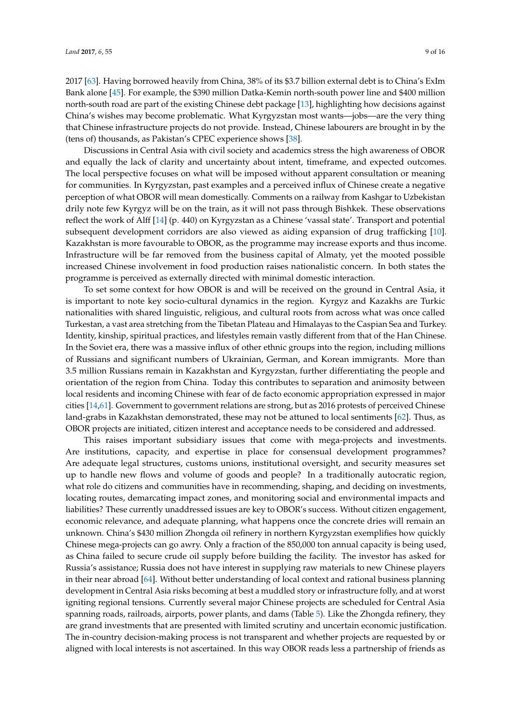2017 [\[63\]](#page-14-20). Having borrowed heavily from China, 38% of its \$3.7 billion external debt is to China's ExIm Bank alone [\[45\]](#page-14-2). For example, the \$390 million Datka-Kemin north-south power line and \$400 million north-south road are part of the existing Chinese debt package [\[13\]](#page-12-11), highlighting how decisions against China's wishes may become problematic. What Kyrgyzstan most wants—jobs—are the very thing that Chinese infrastructure projects do not provide. Instead, Chinese labourers are brought in by the (tens of) thousands, as Pakistan's CPEC experience shows [\[38\]](#page-13-18).

Discussions in Central Asia with civil society and academics stress the high awareness of OBOR and equally the lack of clarity and uncertainty about intent, timeframe, and expected outcomes. The local perspective focuses on what will be imposed without apparent consultation or meaning for communities. In Kyrgyzstan, past examples and a perceived influx of Chinese create a negative perception of what OBOR will mean domestically. Comments on a railway from Kashgar to Uzbekistan drily note few Kyrgyz will be on the train, as it will not pass through Bishkek. These observations reflect the work of Alff [\[14\]](#page-12-12) (p. 440) on Kyrgyzstan as a Chinese 'vassal state'. Transport and potential subsequent development corridors are also viewed as aiding expansion of drug trafficking [\[10\]](#page-12-9). Kazakhstan is more favourable to OBOR, as the programme may increase exports and thus income. Infrastructure will be far removed from the business capital of Almaty, yet the mooted possible increased Chinese involvement in food production raises nationalistic concern. In both states the programme is perceived as externally directed with minimal domestic interaction.

To set some context for how OBOR is and will be received on the ground in Central Asia, it is important to note key socio-cultural dynamics in the region. Kyrgyz and Kazakhs are Turkic nationalities with shared linguistic, religious, and cultural roots from across what was once called Turkestan, a vast area stretching from the Tibetan Plateau and Himalayas to the Caspian Sea and Turkey. Identity, kinship, spiritual practices, and lifestyles remain vastly different from that of the Han Chinese. In the Soviet era, there was a massive influx of other ethnic groups into the region, including millions of Russians and significant numbers of Ukrainian, German, and Korean immigrants. More than 3.5 million Russians remain in Kazakhstan and Kyrgyzstan, further differentiating the people and orientation of the region from China. Today this contributes to separation and animosity between local residents and incoming Chinese with fear of de facto economic appropriation expressed in major cities [\[14](#page-12-12)[,61\]](#page-14-18). Government to government relations are strong, but as 2016 protests of perceived Chinese land-grabs in Kazakhstan demonstrated, these may not be attuned to local sentiments [\[62\]](#page-14-19). Thus, as OBOR projects are initiated, citizen interest and acceptance needs to be considered and addressed.

This raises important subsidiary issues that come with mega-projects and investments. Are institutions, capacity, and expertise in place for consensual development programmes? Are adequate legal structures, customs unions, institutional oversight, and security measures set up to handle new flows and volume of goods and people? In a traditionally autocratic region, what role do citizens and communities have in recommending, shaping, and deciding on investments, locating routes, demarcating impact zones, and monitoring social and environmental impacts and liabilities? These currently unaddressed issues are key to OBOR's success. Without citizen engagement, economic relevance, and adequate planning, what happens once the concrete dries will remain an unknown. China's \$430 million Zhongda oil refinery in northern Kyrgyzstan exemplifies how quickly Chinese mega-projects can go awry. Only a fraction of the 850,000 ton annual capacity is being used, as China failed to secure crude oil supply before building the facility. The investor has asked for Russia's assistance; Russia does not have interest in supplying raw materials to new Chinese players in their near abroad [\[64\]](#page-15-0). Without better understanding of local context and rational business planning development in Central Asia risks becoming at best a muddled story or infrastructure folly, and at worst igniting regional tensions. Currently several major Chinese projects are scheduled for Central Asia spanning roads, railroads, airports, power plants, and dams (Table [5\)](#page-7-1). Like the Zhongda refinery, they are grand investments that are presented with limited scrutiny and uncertain economic justification. The in-country decision-making process is not transparent and whether projects are requested by or aligned with local interests is not ascertained. In this way OBOR reads less a partnership of friends as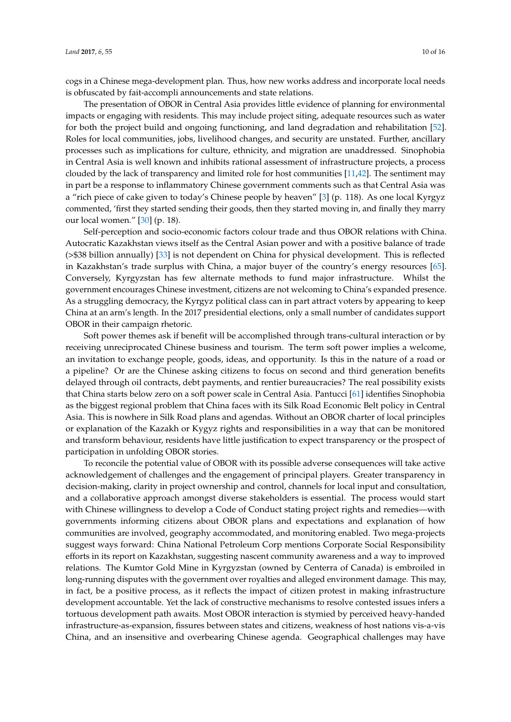cogs in a Chinese mega-development plan. Thus, how new works address and incorporate local needs is obfuscated by fait-accompli announcements and state relations.

The presentation of OBOR in Central Asia provides little evidence of planning for environmental impacts or engaging with residents. This may include project siting, adequate resources such as water for both the project build and ongoing functioning, and land degradation and rehabilitation [\[52\]](#page-14-9). Roles for local communities, jobs, livelihood changes, and security are unstated. Further, ancillary processes such as implications for culture, ethnicity, and migration are unaddressed. Sinophobia in Central Asia is well known and inhibits rational assessment of infrastructure projects, a process clouded by the lack of transparency and limited role for host communities [\[11](#page-12-10)[,42\]](#page-13-22). The sentiment may in part be a response to inflammatory Chinese government comments such as that Central Asia was a "rich piece of cake given to today's Chinese people by heaven" [\[3\]](#page-12-2) (p. 118). As one local Kyrgyz commented, 'first they started sending their goods, then they started moving in, and finally they marry our local women." [\[30\]](#page-13-10) (p. 18).

Self-perception and socio-economic factors colour trade and thus OBOR relations with China. Autocratic Kazakhstan views itself as the Central Asian power and with a positive balance of trade (>\$38 billion annually) [\[33\]](#page-13-13) is not dependent on China for physical development. This is reflected in Kazakhstan's trade surplus with China, a major buyer of the country's energy resources [\[65\]](#page-15-1). Conversely, Kyrgyzstan has few alternate methods to fund major infrastructure. Whilst the government encourages Chinese investment, citizens are not welcoming to China's expanded presence. As a struggling democracy, the Kyrgyz political class can in part attract voters by appearing to keep China at an arm's length. In the 2017 presidential elections, only a small number of candidates support OBOR in their campaign rhetoric.

Soft power themes ask if benefit will be accomplished through trans-cultural interaction or by receiving unreciprocated Chinese business and tourism. The term soft power implies a welcome, an invitation to exchange people, goods, ideas, and opportunity. Is this in the nature of a road or a pipeline? Or are the Chinese asking citizens to focus on second and third generation benefits delayed through oil contracts, debt payments, and rentier bureaucracies? The real possibility exists that China starts below zero on a soft power scale in Central Asia. Pantucci [\[61\]](#page-14-18) identifies Sinophobia as the biggest regional problem that China faces with its Silk Road Economic Belt policy in Central Asia. This is nowhere in Silk Road plans and agendas. Without an OBOR charter of local principles or explanation of the Kazakh or Kygyz rights and responsibilities in a way that can be monitored and transform behaviour, residents have little justification to expect transparency or the prospect of participation in unfolding OBOR stories.

To reconcile the potential value of OBOR with its possible adverse consequences will take active acknowledgement of challenges and the engagement of principal players. Greater transparency in decision-making, clarity in project ownership and control, channels for local input and consultation, and a collaborative approach amongst diverse stakeholders is essential. The process would start with Chinese willingness to develop a Code of Conduct stating project rights and remedies—with governments informing citizens about OBOR plans and expectations and explanation of how communities are involved, geography accommodated, and monitoring enabled. Two mega-projects suggest ways forward: China National Petroleum Corp mentions Corporate Social Responsibility efforts in its report on Kazakhstan, suggesting nascent community awareness and a way to improved relations. The Kumtor Gold Mine in Kyrgyzstan (owned by Centerra of Canada) is embroiled in long-running disputes with the government over royalties and alleged environment damage. This may, in fact, be a positive process, as it reflects the impact of citizen protest in making infrastructure development accountable. Yet the lack of constructive mechanisms to resolve contested issues infers a tortuous development path awaits. Most OBOR interaction is stymied by perceived heavy-handed infrastructure-as-expansion, fissures between states and citizens, weakness of host nations vis-a-vis China, and an insensitive and overbearing Chinese agenda. Geographical challenges may have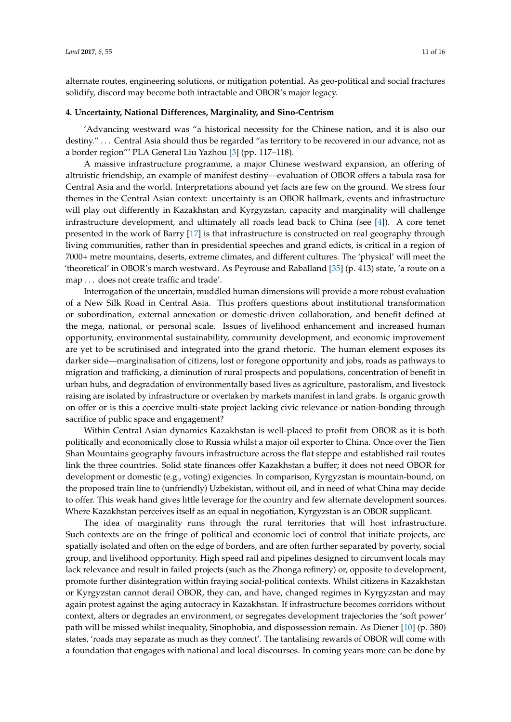alternate routes, engineering solutions, or mitigation potential. As geo-political and social fractures solidify, discord may become both intractable and OBOR's major legacy.

### **4. Uncertainty, National Differences, Marginality, and Sino-Centrism**

'Advancing westward was "a historical necessity for the Chinese nation, and it is also our destiny." ... Central Asia should thus be regarded "as territory to be recovered in our advance, not as a border region"' PLA General Liu Yazhou [\[3\]](#page-12-2) (pp. 117–118).

A massive infrastructure programme, a major Chinese westward expansion, an offering of altruistic friendship, an example of manifest destiny—evaluation of OBOR offers a tabula rasa for Central Asia and the world. Interpretations abound yet facts are few on the ground. We stress four themes in the Central Asian context: uncertainty is an OBOR hallmark, events and infrastructure will play out differently in Kazakhstan and Kyrgyzstan, capacity and marginality will challenge infrastructure development, and ultimately all roads lead back to China (see [\[4\]](#page-12-3)). A core tenet presented in the work of Barry [\[17\]](#page-13-0) is that infrastructure is constructed on real geography through living communities, rather than in presidential speeches and grand edicts, is critical in a region of 7000+ metre mountains, deserts, extreme climates, and different cultures. The 'physical' will meet the 'theoretical' in OBOR's march westward. As Peyrouse and Raballand [\[35\]](#page-13-15) (p. 413) state, 'a route on a map . . . does not create traffic and trade'.

Interrogation of the uncertain, muddled human dimensions will provide a more robust evaluation of a New Silk Road in Central Asia. This proffers questions about institutional transformation or subordination, external annexation or domestic-driven collaboration, and benefit defined at the mega, national, or personal scale. Issues of livelihood enhancement and increased human opportunity, environmental sustainability, community development, and economic improvement are yet to be scrutinised and integrated into the grand rhetoric. The human element exposes its darker side—marginalisation of citizens, lost or foregone opportunity and jobs, roads as pathways to migration and trafficking, a diminution of rural prospects and populations, concentration of benefit in urban hubs, and degradation of environmentally based lives as agriculture, pastoralism, and livestock raising are isolated by infrastructure or overtaken by markets manifest in land grabs. Is organic growth on offer or is this a coercive multi-state project lacking civic relevance or nation-bonding through sacrifice of public space and engagement?

Within Central Asian dynamics Kazakhstan is well-placed to profit from OBOR as it is both politically and economically close to Russia whilst a major oil exporter to China. Once over the Tien Shan Mountains geography favours infrastructure across the flat steppe and established rail routes link the three countries. Solid state finances offer Kazakhstan a buffer; it does not need OBOR for development or domestic (e.g., voting) exigencies. In comparison, Kyrgyzstan is mountain-bound, on the proposed train line to (unfriendly) Uzbekistan, without oil, and in need of what China may decide to offer. This weak hand gives little leverage for the country and few alternate development sources. Where Kazakhstan perceives itself as an equal in negotiation, Kyrgyzstan is an OBOR supplicant.

The idea of marginality runs through the rural territories that will host infrastructure. Such contexts are on the fringe of political and economic loci of control that initiate projects, are spatially isolated and often on the edge of borders, and are often further separated by poverty, social group, and livelihood opportunity. High speed rail and pipelines designed to circumvent locals may lack relevance and result in failed projects (such as the Zhonga refinery) or, opposite to development, promote further disintegration within fraying social-political contexts. Whilst citizens in Kazakhstan or Kyrgyzstan cannot derail OBOR, they can, and have, changed regimes in Kyrgyzstan and may again protest against the aging autocracy in Kazakhstan. If infrastructure becomes corridors without context, alters or degrades an environment, or segregates development trajectories the 'soft power' path will be missed whilst inequality, Sinophobia, and dispossession remain. As Diener [\[10\]](#page-12-9) (p. 380) states, 'roads may separate as much as they connect'. The tantalising rewards of OBOR will come with a foundation that engages with national and local discourses. In coming years more can be done by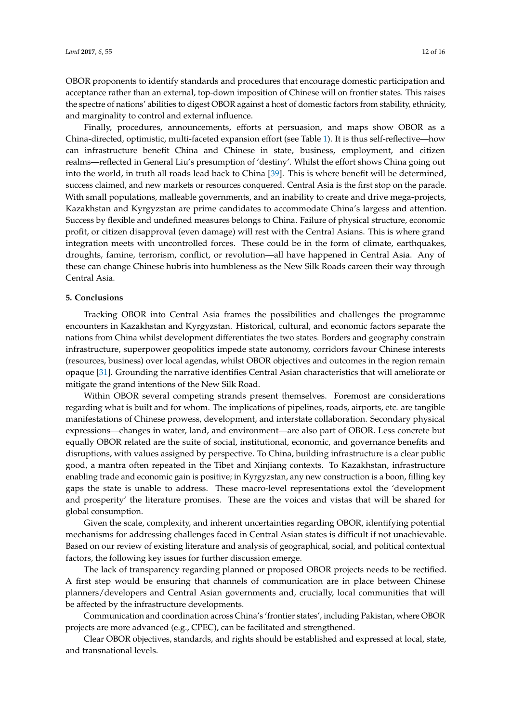OBOR proponents to identify standards and procedures that encourage domestic participation and acceptance rather than an external, top-down imposition of Chinese will on frontier states. This raises the spectre of nations' abilities to digest OBOR against a host of domestic factors from stability, ethnicity,

and marginality to control and external influence. Finally, procedures, announcements, efforts at persuasion, and maps show OBOR as a China-directed, optimistic, multi-faceted expansion effort (see Table [1\)](#page-2-0). It is thus self-reflective—how can infrastructure benefit China and Chinese in state, business, employment, and citizen realms—reflected in General Liu's presumption of 'destiny'. Whilst the effort shows China going out into the world, in truth all roads lead back to China [\[39\]](#page-13-19). This is where benefit will be determined, success claimed, and new markets or resources conquered. Central Asia is the first stop on the parade. With small populations, malleable governments, and an inability to create and drive mega-projects, Kazakhstan and Kyrgyzstan are prime candidates to accommodate China's largess and attention. Success by flexible and undefined measures belongs to China. Failure of physical structure, economic profit, or citizen disapproval (even damage) will rest with the Central Asians. This is where grand integration meets with uncontrolled forces. These could be in the form of climate, earthquakes, droughts, famine, terrorism, conflict, or revolution—all have happened in Central Asia. Any of these can change Chinese hubris into humbleness as the New Silk Roads careen their way through Central Asia.

#### **5. Conclusions**

Tracking OBOR into Central Asia frames the possibilities and challenges the programme encounters in Kazakhstan and Kyrgyzstan. Historical, cultural, and economic factors separate the nations from China whilst development differentiates the two states. Borders and geography constrain infrastructure, superpower geopolitics impede state autonomy, corridors favour Chinese interests (resources, business) over local agendas, whilst OBOR objectives and outcomes in the region remain opaque [\[31\]](#page-13-11). Grounding the narrative identifies Central Asian characteristics that will ameliorate or mitigate the grand intentions of the New Silk Road.

Within OBOR several competing strands present themselves. Foremost are considerations regarding what is built and for whom. The implications of pipelines, roads, airports, etc. are tangible manifestations of Chinese prowess, development, and interstate collaboration. Secondary physical expressions—changes in water, land, and environment—are also part of OBOR. Less concrete but equally OBOR related are the suite of social, institutional, economic, and governance benefits and disruptions, with values assigned by perspective. To China, building infrastructure is a clear public good, a mantra often repeated in the Tibet and Xinjiang contexts. To Kazakhstan, infrastructure enabling trade and economic gain is positive; in Kyrgyzstan, any new construction is a boon, filling key gaps the state is unable to address. These macro-level representations extol the 'development and prosperity' the literature promises. These are the voices and vistas that will be shared for global consumption.

Given the scale, complexity, and inherent uncertainties regarding OBOR, identifying potential mechanisms for addressing challenges faced in Central Asian states is difficult if not unachievable. Based on our review of existing literature and analysis of geographical, social, and political contextual factors, the following key issues for further discussion emerge.

The lack of transparency regarding planned or proposed OBOR projects needs to be rectified. A first step would be ensuring that channels of communication are in place between Chinese planners/developers and Central Asian governments and, crucially, local communities that will be affected by the infrastructure developments.

Communication and coordination across China's 'frontier states', including Pakistan, where OBOR projects are more advanced (e.g., CPEC), can be facilitated and strengthened.

Clear OBOR objectives, standards, and rights should be established and expressed at local, state, and transnational levels.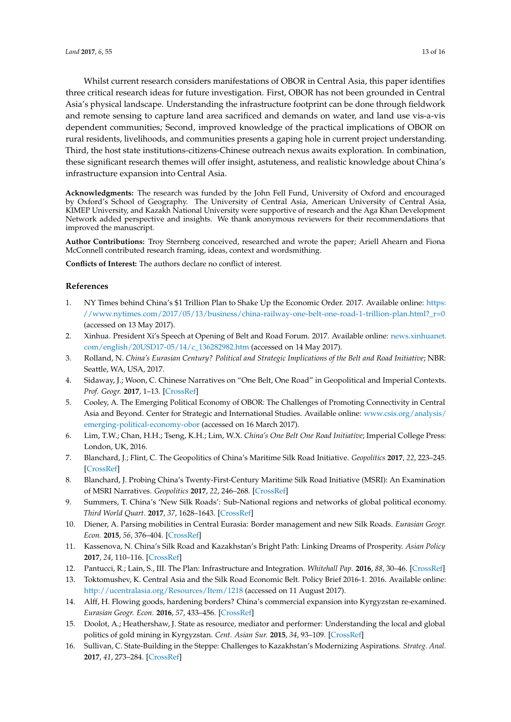Whilst current research considers manifestations of OBOR in Central Asia, this paper identifies three critical research ideas for future investigation. First, OBOR has not been grounded in Central Asia's physical landscape. Understanding the infrastructure footprint can be done through fieldwork and remote sensing to capture land area sacrificed and demands on water, and land use vis-a-vis dependent communities; Second, improved knowledge of the practical implications of OBOR on rural residents, livelihoods, and communities presents a gaping hole in current project understanding. Third, the host state institutions-citizens-Chinese outreach nexus awaits exploration. In combination, these significant research themes will offer insight, astuteness, and realistic knowledge about China's infrastructure expansion into Central Asia.

**Acknowledgments:** The research was funded by the John Fell Fund, University of Oxford and encouraged by Oxford's School of Geography. The University of Central Asia, American University of Central Asia, KIMEP University, and Kazakh National University were supportive of research and the Aga Khan Development Network added perspective and insights. We thank anonymous reviewers for their recommendations that improved the manuscript.

**Author Contributions:** Troy Sternberg conceived, researched and wrote the paper; Ariell Ahearn and Fiona McConnell contributed research framing, ideas, context and wordsmithing.

**Conflicts of Interest:** The authors declare no conflict of interest.

# **References**

- <span id="page-12-0"></span>1. NY Times behind China's \$1 Trillion Plan to Shake Up the Economic Order. 2017. Available online: [https:](https://www.nytimes.com/2017/05/13/business/china-railway-one-belt-one-road-1-trillion-plan.html?_r=0) [//www.nytimes.com/2017/05/13/business/china-railway-one-belt-one-road-1-trillion-plan.html?\\_r=0](https://www.nytimes.com/2017/05/13/business/china-railway-one-belt-one-road-1-trillion-plan.html?_r=0) (accessed on 13 May 2017).
- <span id="page-12-1"></span>2. Xinhua. President Xi's Speech at Opening of Belt and Road Forum. 2017. Available online: [news.xinhuanet.](news.xinhuanet.com/ english/20USD17-05/14/c_136282982.htm) [com/english/20USD17-05/14/c\\_136282982.htm](news.xinhuanet.com/ english/20USD17-05/14/c_136282982.htm) (accessed on 14 May 2017).
- <span id="page-12-2"></span>3. Rolland, N. *China's Eurasian Century? Political and Strategic Implications of the Belt and Road Initiative*; NBR: Seattle, WA, USA, 2017.
- <span id="page-12-3"></span>4. Sidaway, J.; Woon, C. Chinese Narratives on "One Belt, One Road" in Geopolitical and Imperial Contexts. *Prof. Geogr.* **2017**, 1–13. [\[CrossRef\]](http://dx.doi.org/10.1080/00330124.2017.1288576)
- <span id="page-12-7"></span>5. Cooley, A. The Emerging Political Economy of OBOR: The Challenges of Promoting Connectivity in Central Asia and Beyond. Center for Strategic and International Studies. Available online: [www.csis.org/analysis/](www.csis.org/analysis/emerging-political-economy-obor) [emerging-political-economy-obor](www.csis.org/analysis/emerging-political-economy-obor) (accessed on 16 March 2017).
- <span id="page-12-4"></span>6. Lim, T.W.; Chan, H.H.; Tseng, K.H.; Lim, W.X. *China's One Belt One Road Initiative*; Imperial College Press: London, UK, 2016.
- <span id="page-12-5"></span>7. Blanchard, J.; Flint, C. The Geopolitics of China's Maritime Silk Road Initiative. *Geopolitics* **2017**, *22*, 223–245. [\[CrossRef\]](http://dx.doi.org/10.1080/14650045.2017.1291503)
- <span id="page-12-6"></span>8. Blanchard, J. Probing China's Twenty-First-Century Maritime Silk Road Initiative (MSRI): An Examination of MSRI Narratives. *Geopolitics* **2017**, *22*, 246–268. [\[CrossRef\]](http://dx.doi.org/10.1080/14650045.2016.1267147)
- <span id="page-12-8"></span>9. Summers, T. China's 'New Silk Roads': Sub-National regions and networks of global political economy. *Third World Quart.* **2017**, *37*, 1628–1643. [\[CrossRef\]](http://dx.doi.org/10.1080/01436597.2016.1153415)
- <span id="page-12-9"></span>10. Diener, A. Parsing mobilities in Central Eurasia: Border management and new Silk Roads. *Eurasian Geogr. Econ.* **2015**, *56*, 376–404. [\[CrossRef\]](http://dx.doi.org/10.1080/15387216.2015.1078736)
- <span id="page-12-10"></span>11. Kassenova, N. China's Silk Road and Kazakhstan's Bright Path: Linking Dreams of Prosperity. *Asian Policy* **2017**, *24*, 110–116. [\[CrossRef\]](http://dx.doi.org/10.1353/asp.2017.0028)
- <span id="page-12-14"></span>12. Pantucci, R.; Lain, S., III. The Plan: Infrastructure and Integration. *Whitehall Pap.* **2016**, *88*, 30–46. [\[CrossRef\]](http://dx.doi.org/10.1080/02681307.2016.1274607)
- <span id="page-12-11"></span>13. Toktomushev, K. Central Asia and the Silk Road Economic Belt. Policy Brief 2016-1. 2016. Available online: <http://ucentralasia.org/Resources/Item/1218> (accessed on 11 August 2017).
- <span id="page-12-12"></span>14. Alff, H. Flowing goods, hardening borders? China's commercial expansion into Kyrgyzstan re-examined. *Eurasian Geogr. Econ.* **2016**, *57*, 433–456. [\[CrossRef\]](http://dx.doi.org/10.1080/15387216.2016.1200993)
- <span id="page-12-15"></span>15. Doolot, A.; Heathershaw, J. State as resource, mediator and performer: Understanding the local and global politics of gold mining in Kyrgyzstan. *Cent. Asian Sur.* **2015**, *34*, 93–109. [\[CrossRef\]](http://dx.doi.org/10.1080/02634937.2015.1010853)
- <span id="page-12-13"></span>16. Sullivan, C. State-Building in the Steppe: Challenges to Kazakhstan's Modernizing Aspirations. *Strateg. Anal.* **2017**, *41*, 273–284. [\[CrossRef\]](http://dx.doi.org/10.1080/09700161.2017.1295606)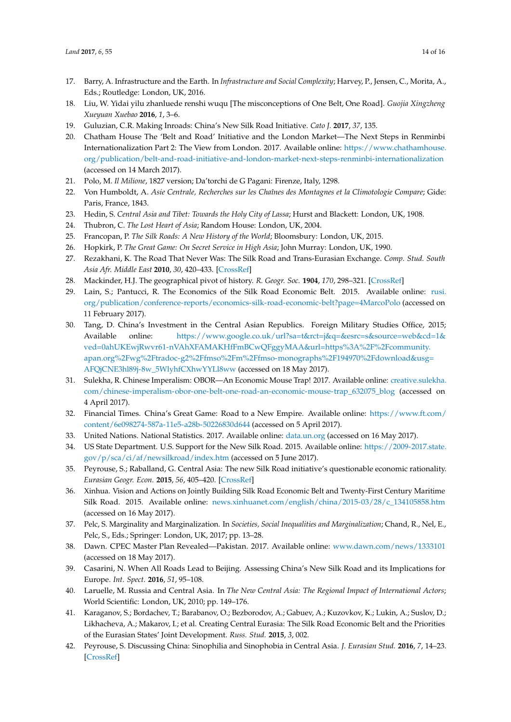- <span id="page-13-0"></span>17. Barry, A. Infrastructure and the Earth. In *Infrastructure and Social Complexity*; Harvey, P., Jensen, C., Morita, A., Eds.; Routledge: London, UK, 2016.
- <span id="page-13-1"></span>18. Liu, W. Yidai yilu zhanluede renshi wuqu [The misconceptions of One Belt, One Road]. *Guojia Xingzheng Xueyuan Xuebao* **2016**, *1*, 3–6.
- <span id="page-13-2"></span>19. Guluzian, C.R. Making Inroads: China's New Silk Road Initiative. *Cato J.* **2017**, *37*, 135.
- <span id="page-13-3"></span>20. Chatham House The 'Belt and Road' Initiative and the London Market—The Next Steps in Renminbi Internationalization Part 2: The View from London. 2017. Available online: [https://www.chathamhouse.](https://www.chathamhouse.org/publication/belt-and-road-initiative-and-london-market-next-steps-renminbi-internationalization) [org/publication/belt-and-road-initiative-and-london-market-next-steps-renminbi-internationalization](https://www.chathamhouse.org/publication/belt-and-road-initiative-and-london-market-next-steps-renminbi-internationalization) (accessed on 14 March 2017).
- <span id="page-13-4"></span>21. Polo, M. *Il Milione*, 1827 version; Da'torchi de G Pagani: Firenze, Italy, 1298.
- 22. Von Humboldt, A. *Asie Centrale, Recherches sur les Chaînes des Montagnes et la Climotologie Compare*; Gide: Paris, France, 1843.
- 23. Hedin, S. *Central Asia and Tibet: Towards the Holy City of Lassa*; Hurst and Blackett: London, UK, 1908.
- 24. Thubron, C. *The Lost Heart of Asia*; Random House: London, UK, 2004.
- <span id="page-13-5"></span>25. Francopan, P. *The Silk Roads: A New History of the World*; Bloomsbury: London, UK, 2015.
- <span id="page-13-6"></span>26. Hopkirk, P. *The Great Game: On Secret Service in High Asia*; John Murray: London, UK, 1990.
- <span id="page-13-7"></span>27. Rezakhani, K. The Road That Never Was: The Silk Road and Trans-Eurasian Exchange. *Comp. Stud. South Asia Afr. Middle East* **2010**, *30*, 420–433. [\[CrossRef\]](http://dx.doi.org/10.1215/1089201X-2010-025)
- <span id="page-13-9"></span><span id="page-13-8"></span>28. Mackinder, H.J. The geographical pivot of history. *R. Geogr. Soc.* **1904**, *170*, 298–321. [\[CrossRef\]](http://dx.doi.org/10.2307/1775498)
- 29. Lain, S.; Pantucci, R. The Economics of the Silk Road Economic Belt. 2015. Available online: [rusi.](rusi.org/publication/conference-reports/economics-silk-road-economic-belt?page=4 Marco Polo) [org/publication/conference-reports/economics-silk-road-economic-belt?page=4MarcoPolo](rusi.org/publication/conference-reports/economics-silk-road-economic-belt?page=4 Marco Polo) (accessed on 11 February 2017).
- <span id="page-13-10"></span>30. Tang, D. China's Investment in the Central Asian Republics. Foreign Military Studies Office, 2015; Available online: [https://www.google.co.uk/url?sa=t&rct=j&q=&esrc=s&source=web&cd=1&](https://www.google.co.uk/url?sa=t&rct=j&q=&esrc=s&source=web&cd=1&ved=0ahUKEwjRwvr61-nVAhXFAMAKHfFmBCwQFggyMAA&url=https%3A%2F%2Fcommunity.apan.org%2Fwg%2Ftradoc-g2%2Ffmso%2Fm%2Ffmso-monographs%2F194970%2Fdownload&usg=AFQjCNE3hl89j-8w_5WlyhfCXhwYYLl8ww) [ved=0ahUKEwjRwvr61-nVAhXFAMAKHfFmBCwQFggyMAA&url=https%3A%2F%2Fcommunity.](https://www.google.co.uk/url?sa=t&rct=j&q=&esrc=s&source=web&cd=1&ved=0ahUKEwjRwvr61-nVAhXFAMAKHfFmBCwQFggyMAA&url=https%3A%2F%2Fcommunity.apan.org%2Fwg%2Ftradoc-g2%2Ffmso%2Fm%2Ffmso-monographs%2F194970%2Fdownload&usg=AFQjCNE3hl89j-8w_5WlyhfCXhwYYLl8ww) [apan.org%2Fwg%2Ftradoc-g2%2Ffmso%2Fm%2Ffmso-monographs%2F194970%2Fdownload&usg=](https://www.google.co.uk/url?sa=t&rct=j&q=&esrc=s&source=web&cd=1&ved=0ahUKEwjRwvr61-nVAhXFAMAKHfFmBCwQFggyMAA&url=https%3A%2F%2Fcommunity.apan.org%2Fwg%2Ftradoc-g2%2Ffmso%2Fm%2Ffmso-monographs%2F194970%2Fdownload&usg=AFQjCNE3hl89j-8w_5WlyhfCXhwYYLl8ww) [AFQjCNE3hl89j-8w\\_5WlyhfCXhwYYLl8ww](https://www.google.co.uk/url?sa=t&rct=j&q=&esrc=s&source=web&cd=1&ved=0ahUKEwjRwvr61-nVAhXFAMAKHfFmBCwQFggyMAA&url=https%3A%2F%2Fcommunity.apan.org%2Fwg%2Ftradoc-g2%2Ffmso%2Fm%2Ffmso-monographs%2F194970%2Fdownload&usg=AFQjCNE3hl89j-8w_5WlyhfCXhwYYLl8ww) (accessed on 18 May 2017).
- <span id="page-13-11"></span>31. Sulekha, R. Chinese Imperalism: OBOR—An Economic Mouse Trap! 2017. Available online: [creative.sulekha.](creative.sulekha.com/chinese-imperalism-obor-one-belt-one-road-an-economic-mouse-trap_632075_blog) [com/chinese-imperalism-obor-one-belt-one-road-an-economic-mouse-trap\\_632075\\_blog](creative.sulekha.com/chinese-imperalism-obor-one-belt-one-road-an-economic-mouse-trap_632075_blog) (accessed on 4 April 2017).
- <span id="page-13-12"></span>32. Financial Times. China's Great Game: Road to a New Empire. Available online: [https://www.ft.com/](https://www.ft.com/content/6e098274-587a-11e5-a28b-50226830d644) [content/6e098274-587a-11e5-a28b-50226830d644](https://www.ft.com/content/6e098274-587a-11e5-a28b-50226830d644) (accessed on 5 April 2017).
- <span id="page-13-13"></span>33. United Nations. National Statistics. 2017. Available online: <data.un.org> (accessed on 16 May 2017).
- <span id="page-13-14"></span>34. US State Department. U.S. Support for the New Silk Road. 2015. Available online: [https://2009-2017.state.](https://2009-2017.state.gov/p/sca/ci/af/newsilkroad/index.htm) [gov/p/sca/ci/af/newsilkroad/index.htm](https://2009-2017.state.gov/p/sca/ci/af/newsilkroad/index.htm) (accessed on 5 June 2017).
- <span id="page-13-15"></span>35. Peyrouse, S.; Raballand, G. Central Asia: The new Silk Road initiative's questionable economic rationality. *Eurasian Geogr. Econ.* **2015**, *56*, 405–420. [\[CrossRef\]](http://dx.doi.org/10.1080/15387216.2015.1114424)
- <span id="page-13-16"></span>36. Xinhua. Vision and Actions on Jointly Building Silk Road Economic Belt and Twenty-First Century Maritime Silk Road. 2015. Available online: [news.xinhuanet.com/english/china/2015-03/28/c\\_134105858.htm](news.xinhuanet.com/english/china/2015-03/28/c_134105858.htm) (accessed on 16 May 2017).
- <span id="page-13-17"></span>37. Pelc, S. Marginality and Marginalization. In *Societies, Social Inequalities and Marginalization*; Chand, R., Nel, E., Pelc, S., Eds.; Springer: London, UK, 2017; pp. 13–28.
- <span id="page-13-18"></span>38. Dawn. CPEC Master Plan Revealed—Pakistan. 2017. Available online: [www.dawn.com/news/1333101](www.dawn.com/ news/1333101) (accessed on 18 May 2017).
- <span id="page-13-19"></span>39. Casarini, N. When All Roads Lead to Beijing. Assessing China's New Silk Road and its Implications for Europe. *Int. Spect.* **2016**, *51*, 95–108.
- <span id="page-13-20"></span>40. Laruelle, M. Russia and Central Asia. In *The New Central Asia: The Regional Impact of International Actors*; World Scientific: London, UK, 2010; pp. 149–176.
- <span id="page-13-21"></span>41. Karaganov, S.; Bordachev, T.; Barabanov, O.; Bezborodov, A.; Gabuev, A.; Kuzovkov, K.; Lukin, A.; Suslov, D.; Likhacheva, A.; Makarov, I.; et al. Creating Central Eurasia: The Silk Road Economic Belt and the Priorities of the Eurasian States' Joint Development. *Russ. Stud.* **2015**, *3*, 002.
- <span id="page-13-22"></span>42. Peyrouse, S. Discussing China: Sinophilia and Sinophobia in Central Asia. *J. Eurasian Stud.* **2016**, *7*, 14–23. [\[CrossRef\]](http://dx.doi.org/10.1016/j.euras.2015.10.003)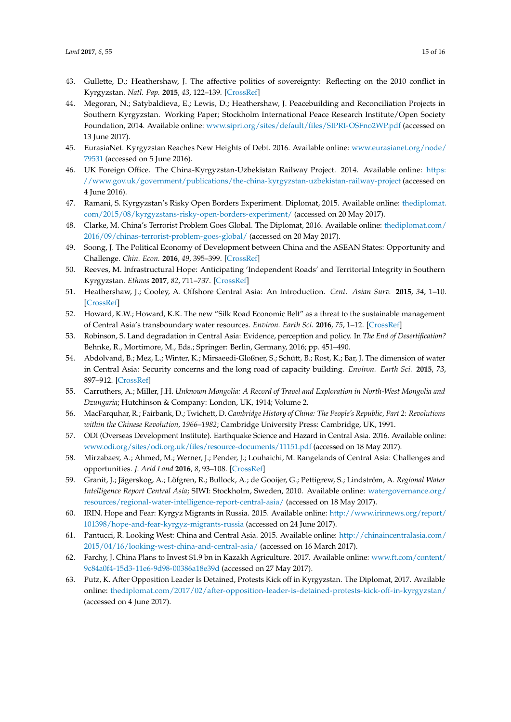- <span id="page-14-0"></span>43. Gullette, D.; Heathershaw, J. The affective politics of sovereignty: Reflecting on the 2010 conflict in Kyrgyzstan. *Natl. Pap.* **2015**, *43*, 122–139. [\[CrossRef\]](http://dx.doi.org/10.1080/00905992.2014.970526)
- <span id="page-14-1"></span>44. Megoran, N.; Satybaldieva, E.; Lewis, D.; Heathershaw, J. Peacebuilding and Reconciliation Projects in Southern Kyrgyzstan. Working Paper; Stockholm International Peace Research Institute/Open Society Foundation, 2014. Available online: <www.sipri.org/sites/default/files/SIPRI-OSFno2WP.pdf> (accessed on 13 June 2017).
- <span id="page-14-2"></span>45. EurasiaNet. Kyrgyzstan Reaches New Heights of Debt. 2016. Available online: [www.eurasianet.org/node/](www.eurasianet.org/node/79531) [79531](www.eurasianet.org/node/79531) (accessed on 5 June 2016).
- <span id="page-14-3"></span>46. UK Foreign Office. The China-Kyrgyzstan-Uzbekistan Railway Project. 2014. Available online: [https:](https://www.gov.uk/government/publications/the-china-kyrgyzstan-uzbekistan-railway-project) [//www.gov.uk/government/publications/the-china-kyrgyzstan-uzbekistan-railway-project](https://www.gov.uk/government/publications/the-china-kyrgyzstan-uzbekistan-railway-project) (accessed on 4 June 2016).
- <span id="page-14-4"></span>47. Ramani, S. Kyrgyzstan's Risky Open Borders Experiment. Diplomat, 2015. Available online: [thediplomat.](thediplomat.com/2015/08/kyrgyzstans-risky-open-borders-experiment/) [com/2015/08/kyrgyzstans-risky-open-borders-experiment/](thediplomat.com/2015/08/kyrgyzstans-risky-open-borders-experiment/) (accessed on 20 May 2017).
- <span id="page-14-5"></span>48. Clarke, M. China's Terrorist Problem Goes Global. The Diplomat, 2016. Available online: [thediplomat.com/](thediplomat.com/2016/09/chinas-terrorist-problem-goes-global/) [2016/09/chinas-terrorist-problem-goes-global/](thediplomat.com/2016/09/chinas-terrorist-problem-goes-global/) (accessed on 20 May 2017).
- <span id="page-14-6"></span>49. Soong, J. The Political Economy of Development between China and the ASEAN States: Opportunity and Challenge. *Chin. Econ.* **2016**, *49*, 395–399. [\[CrossRef\]](http://dx.doi.org/10.1080/10971475.2016.1207972)
- <span id="page-14-7"></span>50. Reeves, M. Infrastructural Hope: Anticipating 'Independent Roads' and Territorial Integrity in Southern Kyrgyzstan. *Ethnos* **2017**, *82*, 711–737. [\[CrossRef\]](http://dx.doi.org/10.1080/00141844.2015.1119176)
- <span id="page-14-8"></span>51. Heathershaw, J.; Cooley, A. Offshore Central Asia: An Introduction. *Cent. Asian Surv.* **2015**, *34*, 1–10. [\[CrossRef\]](http://dx.doi.org/10.1080/02634937.2015.1008816)
- <span id="page-14-9"></span>52. Howard, K.W.; Howard, K.K. The new "Silk Road Economic Belt" as a threat to the sustainable management of Central Asia's transboundary water resources. *Environ. Earth Sci.* **2016**, *75*, 1–12. [\[CrossRef\]](http://dx.doi.org/10.1007/s12665-016-5752-9)
- <span id="page-14-10"></span>53. Robinson, S. Land degradation in Central Asia: Evidence, perception and policy. In *The End of Desertification?* Behnke, R., Mortimore, M., Eds.; Springer: Berlin, Germany, 2016; pp. 451–490.
- <span id="page-14-11"></span>54. Abdolvand, B.; Mez, L.; Winter, K.; Mirsaeedi-Gloßner, S.; Schütt, B.; Rost, K.; Bar, J. The dimension of water in Central Asia: Security concerns and the long road of capacity building. *Environ. Earth Sci.* **2015**, *73*, 897–912. [\[CrossRef\]](http://dx.doi.org/10.1007/s12665-014-3579-9)
- <span id="page-14-12"></span>55. Carruthers, A.; Miller, J.H. *Unknown Mongolia: A Record of Travel and Exploration in North-West Mongolia and Dzungaria*; Hutchinson & Company: London, UK, 1914; Volume 2.
- <span id="page-14-13"></span>56. MacFarquhar, R.; Fairbank, D.; Twichett, D. *Cambridge History of China: The People's Republic, Part 2: Revolutions within the Chinese Revolution, 1966–1982*; Cambridge University Press: Cambridge, UK, 1991.
- <span id="page-14-14"></span>57. ODI (Overseas Development Institute). Earthquake Science and Hazard in Central Asia. 2016. Available online: <www.odi.org/sites/odi.org.uk/files/resource-documents/11151.pdf> (accessed on 18 May 2017).
- <span id="page-14-15"></span>58. Mirzabaev, A.; Ahmed, M.; Werner, J.; Pender, J.; Louhaichi, M. Rangelands of Central Asia: Challenges and opportunities. *J. Arid Land* **2016**, *8*, 93–108. [\[CrossRef\]](http://dx.doi.org/10.1007/s40333-015-0057-5)
- <span id="page-14-16"></span>59. Granit, J.; Jägerskog, A.; Löfgren, R.; Bullock, A.; de Gooijer, G.; Pettigrew, S.; Lindström, A. *Regional Water Intelligence Report Central Asia*; SIWI: Stockholm, Sweden, 2010. Available online: [watergovernance.org/](watergovernance.org/resources/regional-water-intelligence-report-central-asia/) [resources/regional-water-intelligence-report-central-asia/](watergovernance.org/resources/regional-water-intelligence-report-central-asia/) (accessed on 18 May 2017).
- <span id="page-14-17"></span>60. IRIN. Hope and Fear: Kyrgyz Migrants in Russia. 2015. Available online: [http://www.irinnews.org/report/](http://www.irinnews.org/report/101398/hope-and-fear-kyrgyz-migrants-russia) [101398/hope-and-fear-kyrgyz-migrants-russia](http://www.irinnews.org/report/101398/hope-and-fear-kyrgyz-migrants-russia) (accessed on 24 June 2017).
- <span id="page-14-18"></span>61. Pantucci, R. Looking West: China and Central Asia. 2015. Available online: [http://chinaincentralasia.com/](http://chinaincentralasia.com/2015/04/16/looking-west-china-and-central-asia/) [2015/04/16/looking-west-china-and-central-asia/](http://chinaincentralasia.com/2015/04/16/looking-west-china-and-central-asia/) (accessed on 16 March 2017).
- <span id="page-14-19"></span>62. Farchy, J. China Plans to Invest \$1.9 bn in Kazakh Agriculture. 2017. Available online: [www.ft.com/content/](www.ft.com/content/9c84a0f4-15d3-11e6-9d98-00386a18e39d) [9c84a0f4-15d3-11e6-9d98-00386a18e39d](www.ft.com/content/9c84a0f4-15d3-11e6-9d98-00386a18e39d) (accessed on 27 May 2017).
- <span id="page-14-20"></span>63. Putz, K. After Opposition Leader Is Detained, Protests Kick off in Kyrgyzstan. The Diplomat, 2017. Available online: <thediplomat.com/2017/02/after-opposition-leader-is-detained-protests-kick-off-in-kyrgyzstan/> (accessed on 4 June 2017).